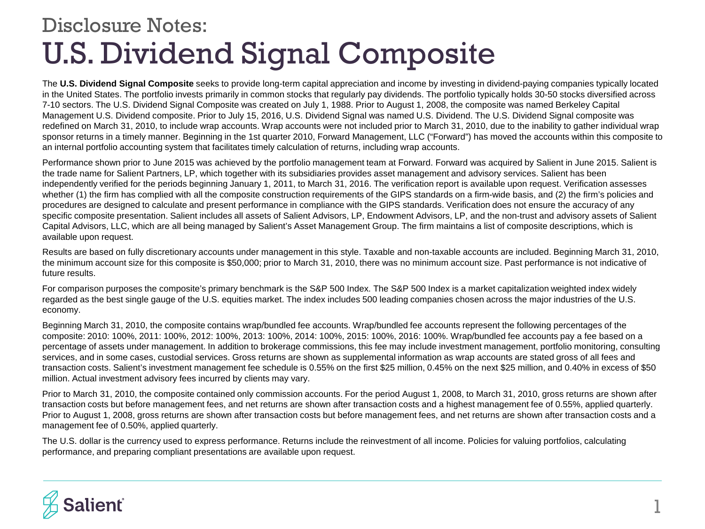## U.S. Dividend Signal Composite Disclosure Notes:

The **U.S. Dividend Signal Composite** seeks to provide long-term capital appreciation and income by investing in dividend-paying companies typically located in the United States. The portfolio invests primarily in common stocks that regularly pay dividends. The portfolio typically holds 30-50 stocks diversified across 7-10 sectors. The U.S. Dividend Signal Composite was created on July 1, 1988. Prior to August 1, 2008, the composite was named Berkeley Capital Management U.S. Dividend composite. Prior to July 15, 2016, U.S. Dividend Signal was named U.S. Dividend. The U.S. Dividend Signal composite was redefined on March 31, 2010, to include wrap accounts. Wrap accounts were not included prior to March 31, 2010, due to the inability to gather individual wrap sponsor returns in a timely manner. Beginning in the 1st quarter 2010, Forward Management, LLC ("Forward") has moved the accounts within this composite to an internal portfolio accounting system that facilitates timely calculation of returns, including wrap accounts.

Performance shown prior to June 2015 was achieved by the portfolio management team at Forward. Forward was acquired by Salient in June 2015. Salient is the trade name for Salient Partners, LP, which together with its subsidiaries provides asset management and advisory services. Salient has been independently verified for the periods beginning January 1, 2011, to March 31, 2016. The verification report is available upon request. Verification assesses whether (1) the firm has complied with all the composite construction requirements of the GIPS standards on a firm-wide basis, and (2) the firm's policies and procedures are designed to calculate and present performance in compliance with the GIPS standards. Verification does not ensure the accuracy of any specific composite presentation. Salient includes all assets of Salient Advisors, LP, Endowment Advisors, LP, and the non-trust and advisory assets of Salient Capital Advisors, LLC, which are all being managed by Salient's Asset Management Group. The firm maintains a list of composite descriptions, which is available upon request.

Results are based on fully discretionary accounts under management in this style. Taxable and non-taxable accounts are included. Beginning March 31, 2010, the minimum account size for this composite is \$50,000; prior to March 31, 2010, there was no minimum account size. Past performance is not indicative of future results.

For comparison purposes the composite's primary benchmark is the S&P 500 Index. The S&P 500 Index is a market capitalization weighted index widely regarded as the best single gauge of the U.S. equities market. The index includes 500 leading companies chosen across the major industries of the U.S. economy.

Beginning March 31, 2010, the composite contains wrap/bundled fee accounts. Wrap/bundled fee accounts represent the following percentages of the composite: 2010: 100%, 2011: 100%, 2012: 100%, 2013: 100%, 2014: 100%, 2015: 100%, 2016: 100%. Wrap/bundled fee accounts pay a fee based on a percentage of assets under management. In addition to brokerage commissions, this fee may include investment management, portfolio monitoring, consulting services, and in some cases, custodial services. Gross returns are shown as supplemental information as wrap accounts are stated gross of all fees and transaction costs. Salient's investment management fee schedule is 0.55% on the first \$25 million, 0.45% on the next \$25 million, and 0.40% in excess of \$50 million. Actual investment advisory fees incurred by clients may vary.

Prior to March 31, 2010, the composite contained only commission accounts. For the period August 1, 2008, to March 31, 2010, gross returns are shown after transaction costs but before management fees, and net returns are shown after transaction costs and a highest management fee of 0.55%, applied quarterly. Prior to August 1, 2008, gross returns are shown after transaction costs but before management fees, and net returns are shown after transaction costs and a management fee of 0.50%, applied quarterly.

The U.S. dollar is the currency used to express performance. Returns include the reinvestment of all income. Policies for valuing portfolios, calculating performance, and preparing compliant presentations are available upon request.